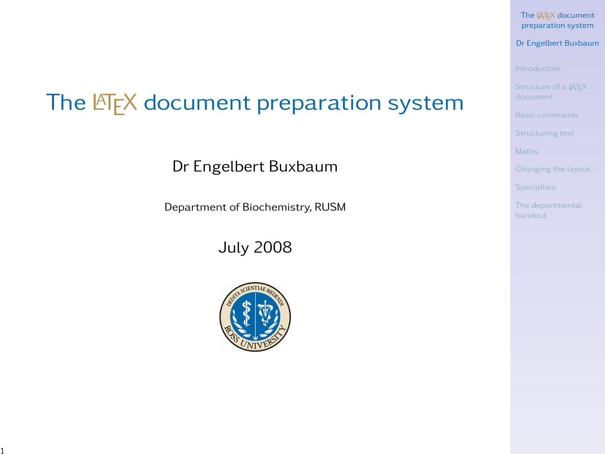#### The IATEX document [preparation system](#page-40-0)

#### Dr Engelbert Buxbaum

**[Specialties](#page-34-0)** 

<span id="page-0-0"></span>[The departmental](#page-39-0)

# The  $\mathbb{F}$ <sub>F</sub>X document preparation system

Dr Engelbert Buxbaum

Department of Biochemistry, RUSM

July 2008

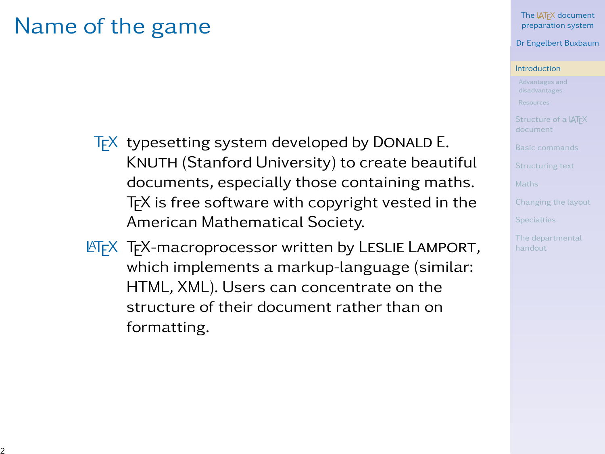### Name of the game

- $TrX$  typesetting system developed by DONALD E. KNUTH (Stanford University) to create beautiful documents, especially those containing maths. T<sub>F</sub>X is free software with copyright vested in the American Mathematical Society.
- **LATEX TEX-macroprocessor written by LESLIE LAMPORT,** which implements a markup-language (similar: HTML, XML). Users can concentrate on the structure of their document rather than on formatting.

#### Dr Engelbert Buxbaum

#### [Introduction](#page-1-0)

<span id="page-1-0"></span>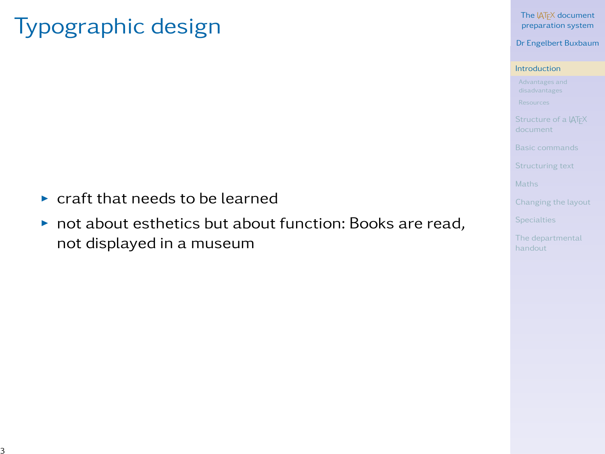## Typographic design

- $\triangleright$  craft that needs to be learned
- $\triangleright$  not about esthetics but about function: Books are read, not displayed in a museum

The IATEX document [preparation system](#page-0-0)

Dr Engelbert Buxbaum

#### [Introduction](#page-1-0)

[Changing the layout](#page-29-0)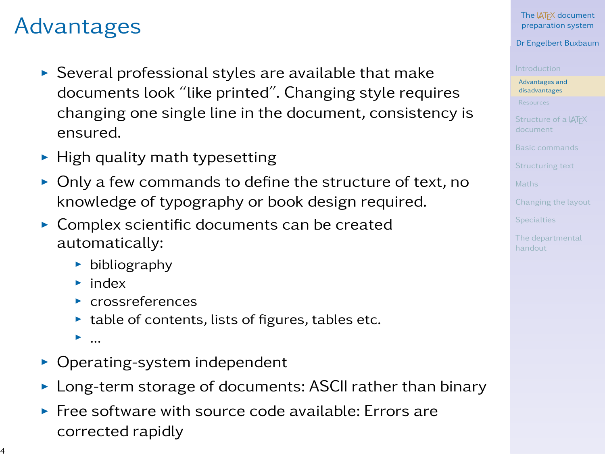# Advantages

- $\triangleright$  Several professional styles are available that make documents look "like printed". Changing style requires changing one single line in the document, consistency is ensured.
- $\blacktriangleright$  High quality math typesetting
- $\triangleright$  Only a few commands to define the structure of text, no knowledge of typography or book design required.
- $\triangleright$  Complex scientific documents can be created automatically:
	- $\blacktriangleright$  bibliography
	- $\blacktriangleright$  index
	- $\blacktriangleright$  crossreferences
	- $\blacktriangleright$  table of contents, lists of figures, tables etc.
	- $\blacktriangleright$  ...
- $\triangleright$  Operating-system independent
- $\triangleright$  Long-term storage of documents: ASCII rather than binary
- $\blacktriangleright$  Free software with source code available: Errors are corrected rapidly

The **LATEX** document [preparation system](#page-0-0)

### Dr Engelbert Buxbaum

[Advantages and](#page-3-0) disadvantages

<span id="page-3-0"></span>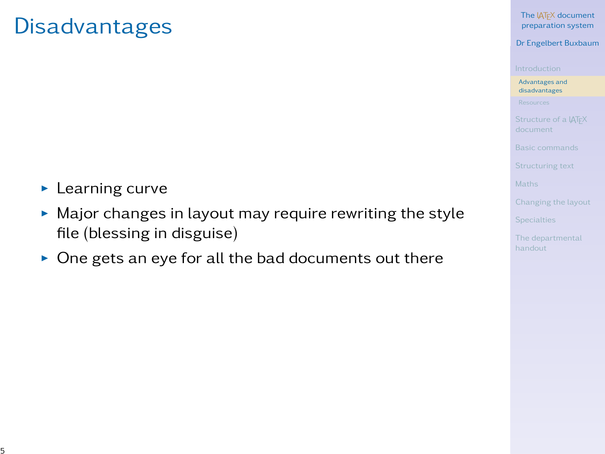### Disadvantages

- $\blacktriangleright$  Learning curve
- $\blacktriangleright$  Major changes in layout may require rewriting the style file (blessing in disguise)
- $\triangleright$  One gets an eye for all the bad documents out there

The IATEX document [preparation system](#page-0-0)

Dr Engelbert Buxbaum

[Advantages and](#page-3-0) disadvantages

[Changing the layout](#page-29-0)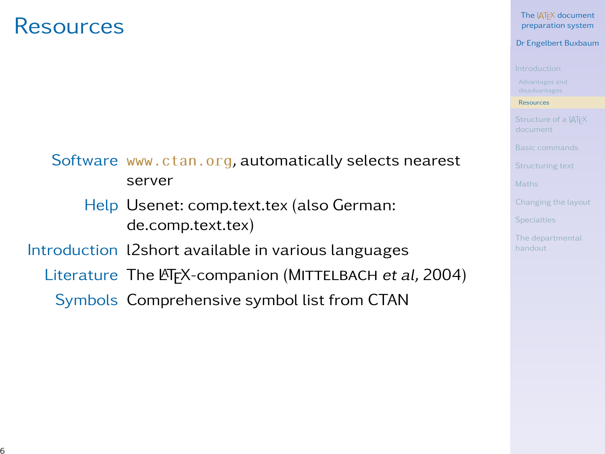### Resources

#### The **LATEX** document [preparation system](#page-0-0)

#### Dr Engelbert Buxbaum

[Resources](#page-5-0)

<span id="page-5-0"></span>

Software <www.ctan.org>, automatically selects nearest server

Help Usenet: comp.text.tex (also German: de.comp.text.tex)

### Introduction l2short available in various languages

- Literature The LATEX-companion (MITTELBACH et al, 2004)
	- Symbols Comprehensive symbol list from CTAN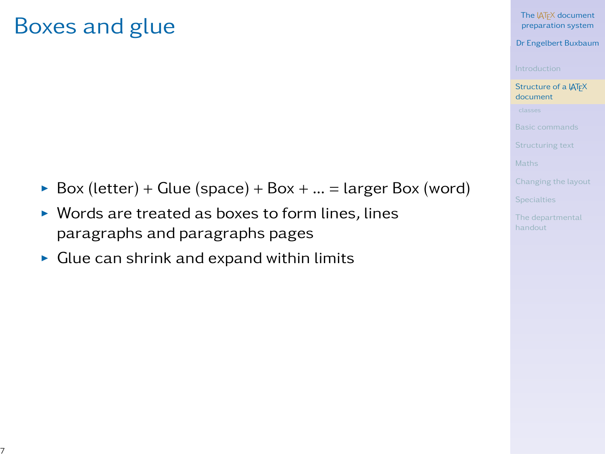### Boxes and glue

- Box (letter) + Glue (space) + Box + ... = larger Box (word)
- $\triangleright$  Words are treated as boxes to form lines, lines paragraphs and paragraphs pages
- $\triangleright$  Glue can shrink and expand within limits

The LAT<sub>EX</sub> document [preparation system](#page-0-0)

Dr Engelbert Buxbaum

[Structure of a L](#page-6-0)ATEX document

<span id="page-6-0"></span>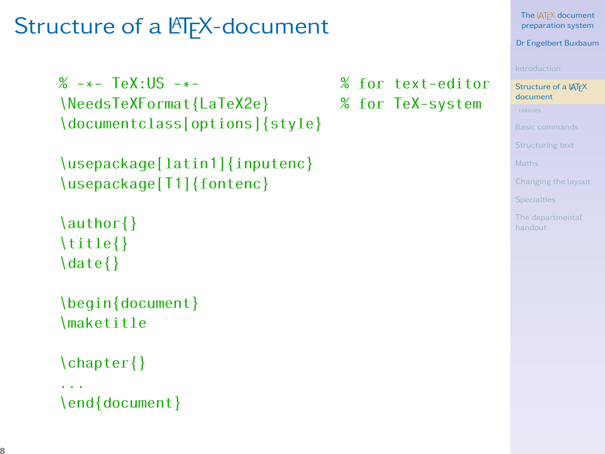### Structure of a LAT<sub>E</sub>X-document

```
% -*- TeX:US -*- % for text-editor
\NeedsTeVFormat{LaTeX2e}\documentclass[options]{style}
```

```
\usepackage[latin1]{inputenc}
\usepackage[T1]{fontenc}
```

```
\author{}
\title{}
\date{}
```

```
\begin{document}
\maketitle
```

```
\chapter{}
```

```
...
\end{document}
```
#### The **LATEX** document [preparation system](#page-0-0)

Dr Engelbert Buxbaum

Structure of a IAT<sub>F</sub>X document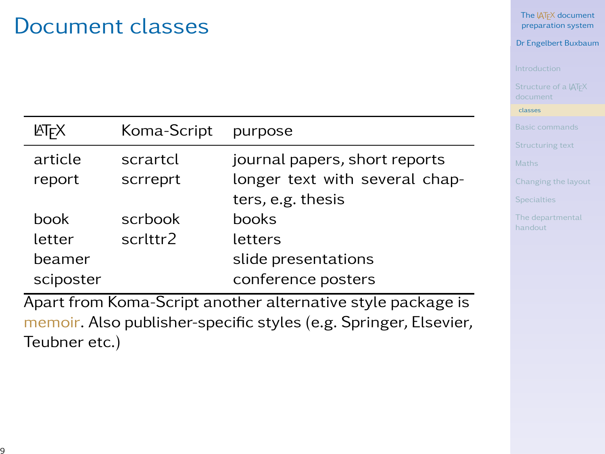### Document classes

| <b>ATFX</b> | Koma-Script | purpose                        | B<br>$\overline{S}$ |
|-------------|-------------|--------------------------------|---------------------|
| article     | scrartcl    | journal papers, short reports  | M                   |
| report      | scrreprt    | longer text with several chap- | $\subset$           |
|             |             | ters, e.g. thesis              | $\mathsf S$         |
| book        | scrbook     | books                          | T<br>h              |
| letter      | scrittr2    | letters                        |                     |
| beamer      |             | slide presentations            |                     |
| sciposter   |             | conference posters             |                     |

Apart from Koma-Script another alternative style package is memoir. Also publisher-specific styles (e.g. Springer, Elsevier, Teubner etc.)

The IAT<sub>E</sub>X document [preparation system](#page-0-0)

Dr Engelbert Buxbaum

[classes](#page-8-0)

hanging the layout

<span id="page-8-0"></span>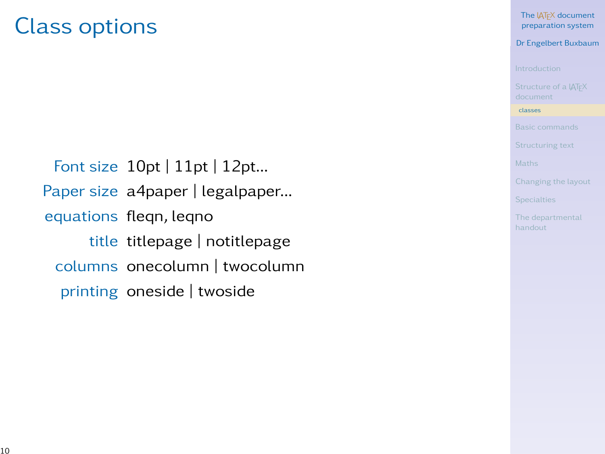### Class options

Font size 10pt | 11pt | 12pt... Paper size a4paper | legalpaper... equations fleqn, leqno title titlepage | notitlepage columns onecolumn | twocolumn printing oneside | twoside

The LAT<sub>EX</sub> document [preparation system](#page-0-0)

Dr Engelbert Buxbaum

[classes](#page-8-0)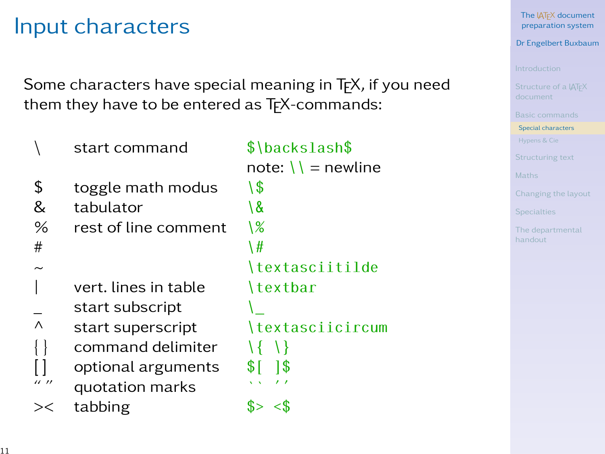### Input characters

Some characters have special meaning in T<sub>E</sub>X, if you need them they have to be entered as TEX-commands:

|                   | start command        | \$\backslash\$              |
|-------------------|----------------------|-----------------------------|
|                   |                      | note: $\setminus$ = newline |
| \$                | toggle math modus    | ۱\$                         |
| &                 | tabulator            | \&                          |
| %                 | rest of line comment | \%                          |
| #                 |                      | \#                          |
|                   |                      | \textasciitilde             |
|                   | vert. lines in table | \textbar                    |
|                   | start subscript      |                             |
| $\wedge$          | start superscript    | \textasciicircum            |
|                   | command delimiter    |                             |
|                   | optional arguments   | SI.<br>1\$                  |
| $^{\prime\prime}$ | quotation marks      |                             |
|                   | tabbing              |                             |
|                   |                      |                             |

The LAT<sub>EX</sub> document [preparation system](#page-0-0)

Dr Engelbert Buxbaum

[Special characters](#page-10-0)

[Changing the layout](#page-29-0)

**[Specialties](#page-34-0)** 

<span id="page-10-0"></span>[The departmental](#page-39-0)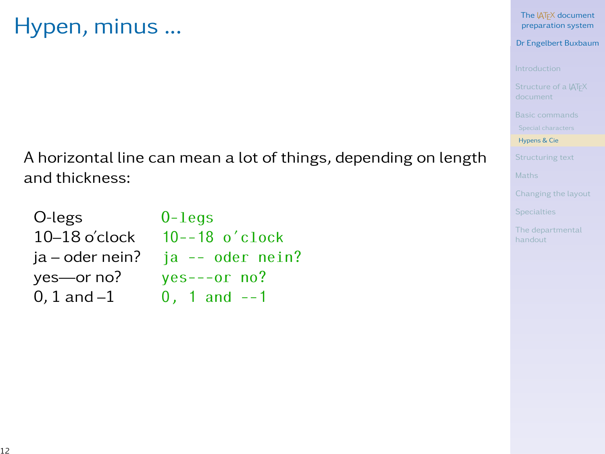### Hypen, minus ...

The IATEX document [preparation system](#page-0-0)

Dr Engelbert Buxbaum

[Hypens & Cie](#page-11-0)

[Changing the layout](#page-29-0)

**[Specialties](#page-34-0)** 

<span id="page-11-0"></span>[The departmental](#page-39-0)

A horizontal line can mean a lot of things, depending on length and thickness:

| O-legs          | $0$ -legs                          |
|-----------------|------------------------------------|
| $10-18$ o'clock | $10--18$ o'clock                   |
|                 | $ia - oder nein?$ ja -- oder nein? |
| yes—or no?      | $yes---or no?$                     |
| 0, 1 and $-1$   | $0, 1$ and $-1$                    |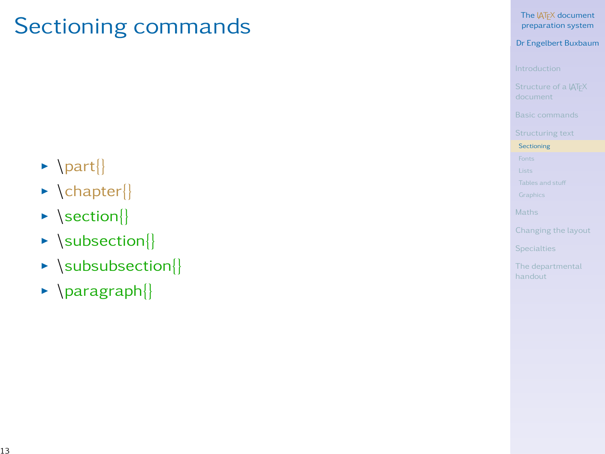### Sectioning commands

#### The IATEX document [preparation system](#page-0-0)

#### Dr Engelbert Buxbaum

**[Sectioning](#page-12-0)** 

<span id="page-12-0"></span>

- $\blacktriangleright$  \part{}
- $\blacktriangleright$  \chapter{}
- $\blacktriangleright$  \section{}
- $\blacktriangleright$  \subsection{}
- $\blacktriangleright$  \subsubsection{}
- $\blacktriangleright$  \paragraph{}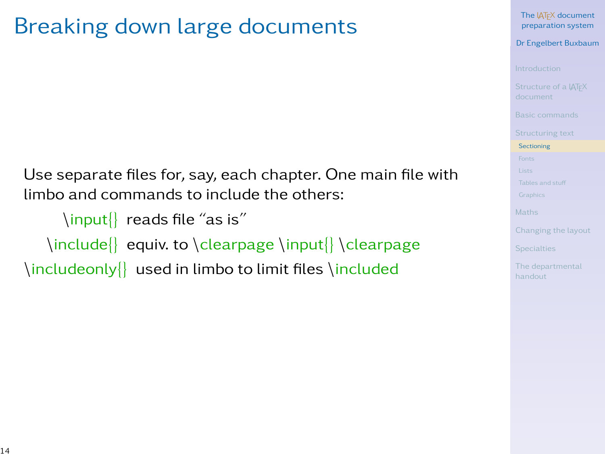# Breaking down large documents

Use separate files for, say, each chapter. One main file with limbo and commands to include the others:

\input{} reads file "as is"

\include{} equiv. to \clearpage \input{} \clearpage

\includeonly{} used in limbo to limit files \included

The LAT<sub>EX</sub> document [preparation system](#page-0-0)

Dr Engelbert Buxbaum

**[Sectioning](#page-12-0)** 

**[Specialties](#page-34-0)**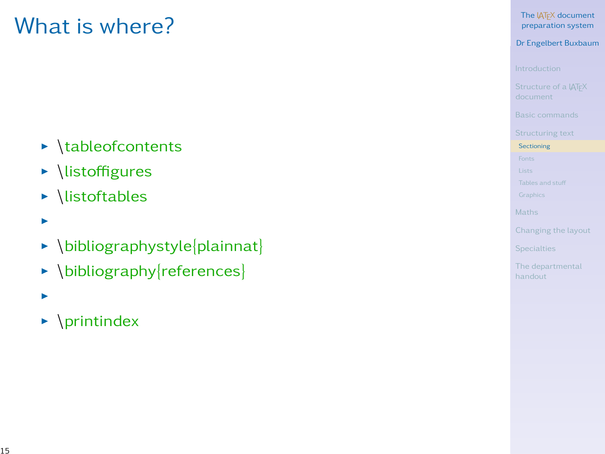## What is where?

- $\blacktriangleright$  \tableofcontents
- $\blacktriangleright$  \listoffigures
- $\blacktriangleright$  \listoftables
- I
- $\blacktriangleright$  \bibliographystyle{plainnat}
- $\blacktriangleright$  \bibliography{references}
- I
- $\blacktriangleright$  \printindex

The LAT<sub>EX</sub> document [preparation system](#page-0-0)

Dr Engelbert Buxbaum

**[Sectioning](#page-12-0)**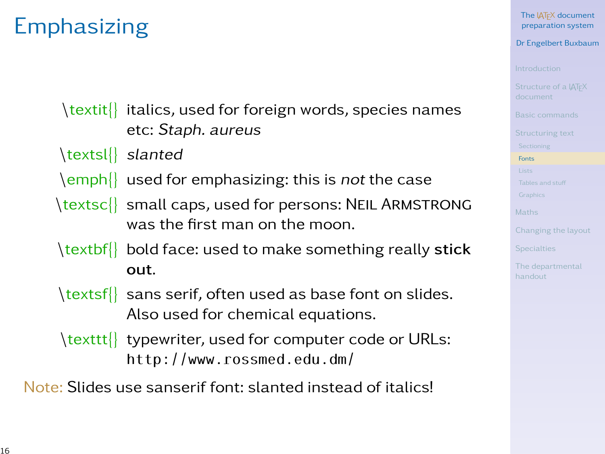### **Emphasizing**

\textit{} italics, used for foreign words, species names etc: Staph. aureus

- \textsl{} slanted
- \emph{} used for emphasizing: this is not the case
- \textsc{} small caps, used for persons: NEIL ARMSTRONG was the first man on the moon.
- \textbf bold face: used to make something really stick out.
- \textsf{} sans serif, often used as base font on slides. Also used for chemical equations.
- \texttt{} typewriter, used for computer code or URLs: http://www.rossmed.edu.dm/

Note: Slides use sanserif font: slanted instead of italics!

The LAT<sub>EX</sub> document [preparation system](#page-0-0)

Dr Engelbert Buxbaum

[Fonts](#page-15-0)

<span id="page-15-0"></span>**[Specialties](#page-34-0)**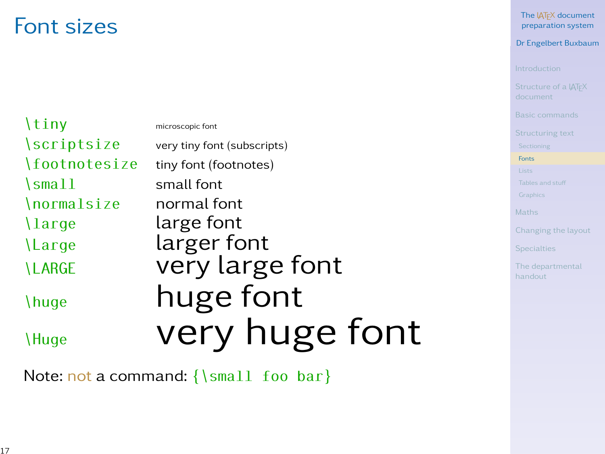### Font sizes

| \tiny                   | microscopic font            |
|-------------------------|-----------------------------|
| \scriptsize             | very tiny font (subscripts) |
| \footnotesize           | tiny font (footnotes)       |
| $\mathrm{\sim}11$       | small font                  |
| \normalsize             | normal font                 |
| $\langle \rangle$ large | large font                  |
| Large                   | larger font                 |
| <b>LARGE</b>            | very large font             |
| \huge                   | huge font                   |
| \Huge                   | very huge font              |

Note: not a command: {\small foo bar}

The IATEX document [preparation system](#page-0-0)

Dr Engelbert Buxbaum

[Fonts](#page-15-0)

[Changing the layout](#page-29-0)

**[Specialties](#page-34-0)** 

[The departmental](#page-39-0)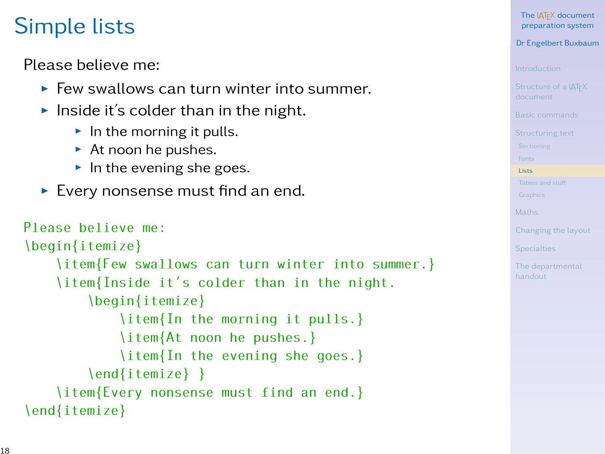# Simple lists

Please believe me:

- $\blacktriangleright$  Few swallows can turn winter into summer.
- Inside it's colder than in the night.
	- $\blacktriangleright$  In the morning it pulls.
	- $\blacktriangleright$  At noon he pushes.
	- $\blacktriangleright$  In the evening she goes.
- $\blacktriangleright$  Every nonsense must find an end.

```
Please believe me:
\begin{itemize}
    \item{Few swallows can turn winter into summer.}
    \item{Inside it's colder than in the night.
        \begin{itemize}
            \item{In the morning it pulls.}
            \item{At noon he pushes.}
            \item{In the evening she goes.}
        \end{itemize} }
    \item{Every nonsense must find an end.}
\end{itemize}
```
The **LATEX** document [preparation system](#page-0-0)

Dr Engelbert Buxbaum

**[Lists](#page-17-0)** 

<span id="page-17-0"></span>**[Specialties](#page-34-0)**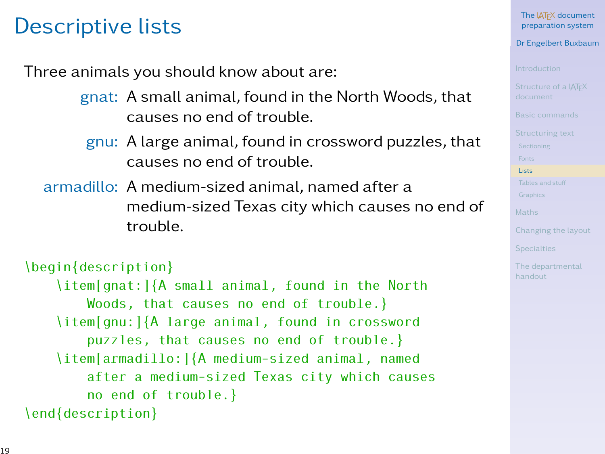### Descriptive lists

Three animals you should know about are:

- gnat: A small animal, found in the North Woods, that causes no end of trouble.
	- gnu: A large animal, found in crossword puzzles, that causes no end of trouble.
- armadillo: A medium-sized animal, named after a medium-sized Texas city which causes no end of trouble.

```
\begin{description}
    \item[gnat:]{A small animal, found in the North
       Woods, that causes no end of trouble.}
    \item[gnu:]{A large animal, found in crossword
        puzzles, that causes no end of trouble.}
    \item[armadillo:]{A medium-sized animal, named
        after a medium-sized Texas city which causes
        no end of trouble.}
\end{description}
```
### Dr Engelbert Buxbaum

**[Lists](#page-17-0)** 

**[Specialties](#page-34-0)**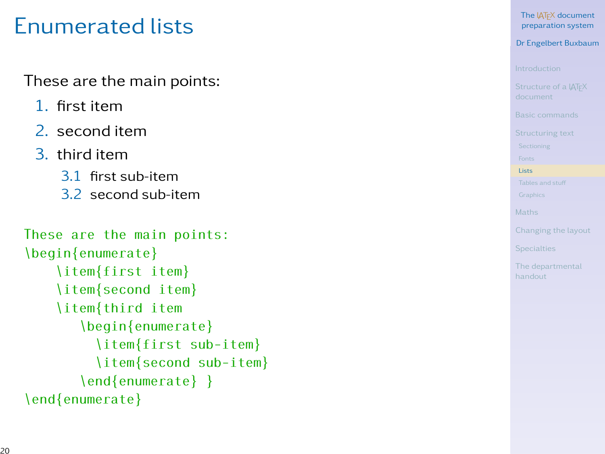# Enumerated lists

These are the main points:

- 1. first item
- 2. second item
- 3. third item
	- 3.1 first sub-item
	- 3.2 second sub-item

```
These are the main points:
\begin{enumerate}
    \item{first item}
    \item{second item}
    \item{third item
       \begin{enumerate}
         \item{first sub-item}
         \item{second sub-item}
       \end{enumerate} }
\end{enumerate}
```
The LATEX document [preparation system](#page-0-0)

Dr Engelbert Buxbaum

**[Lists](#page-17-0)** 

**[Specialties](#page-34-0)**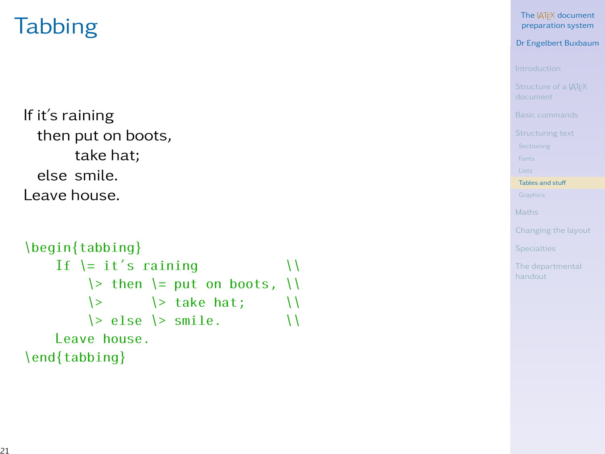# **Tabbing**

If it's raining then put on boots, take hat; else smile. Leave house.

```
\begin{tabbing}
    If \vert it's raining \vert\> then \> put on boots, \>\Rightarrow \Rightarrow take hat; \| \cdot \|\Rightarrow else \> smile. \qquad \qquad \wedgeLeave house.
\end{tabbing}
```
The LAT<sub>EX</sub> document [preparation system](#page-0-0)

Dr Engelbert Buxbaum

[Tables and stu](#page-20-0)ff

<span id="page-20-0"></span>**[Specialties](#page-34-0)**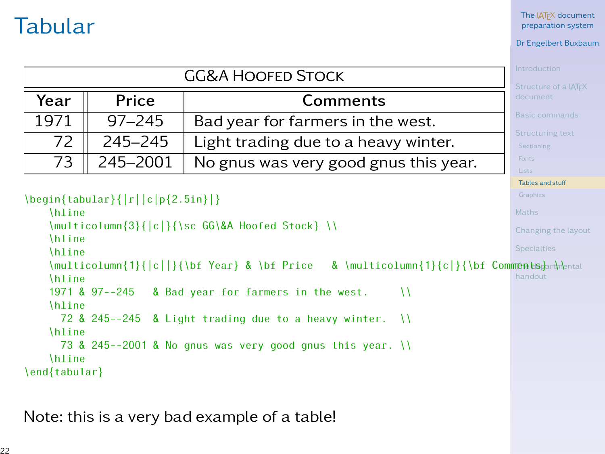### Tabular

The LAT<sub>EX</sub> document [preparation system](#page-0-0)

### Dr Engelbert Buxbaum

|      |            | <b>GG&amp;A HOOFED STOCK</b>          | Introduction<br>Structure of a IATFX |
|------|------------|---------------------------------------|--------------------------------------|
| Year | Price      | Comments                              | document                             |
| 1971 | $97 - 245$ | Bad year for farmers in the west.     | Basic commands                       |
| 72   | 245-245    | Light trading due to a heavy winter.  | Structuring text<br>Sectioning       |
| 73   | 245-2001   | No gnus was very good gnus this year. | Fonts.<br>Lists                      |

[Tables and stu](#page-20-0)ff

\begin{tabular}{|r||c|p{2.5in}|} \hline

```
Specialties
    \multicolumn{1}{|c||}{\bf Year} & \bf Price & \multicolumn{1}{c|}{\bf Comments}, rh\ental
                                                                                     handout
    \multicolumn{3}{|c|}{\sc GG\&A Hoofed Stock} \\
    \hline
    \hline
    \hline<br>1971 & 97--245
                      8 Bad year for farmers in the west. \sqrt{11}\hline
      72 & 245--245 & Light trading due to a heavy winter. \| \\hline
      73 & 245--2001 & No gnus was very good gnus this year. \\
    \hline
\end{tabular}
```
Note: this is a very bad example of a table!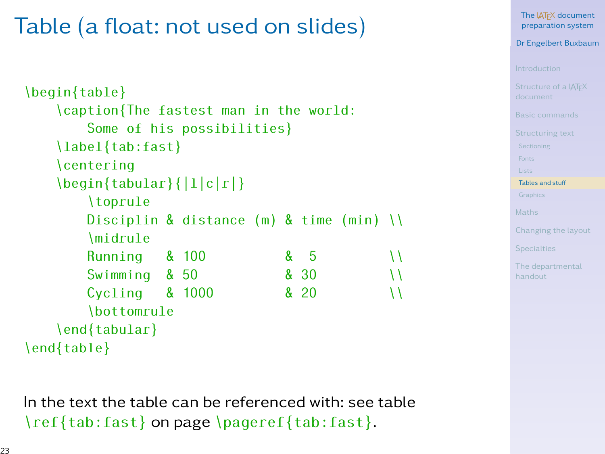# Table (a float: not used on slides)

```
Tables and stuff
                                                              Specialties
                                                              handout
\begin{table}
    \caption{The fastest man in the world:
        Some of his possibilities}
    \label{tab:fast}
    \centering
    \begin{tabular}{|l|c|r|}
        \toprule
        Disciplin & distance (m) & time (min)\midrule
        Running & 100 & 5 \\
        Swimming & 50 8 30 \\
        Cycling \quad & 1000 \quad & 820 \quad \qquad \setminus\bottomrule
    \end{tabular}
\end{table}
```
The **LATEX** document [preparation system](#page-0-0) Dr Engelbert Buxbaum

In the text the table can be referenced with: see table \ref{tab:fast} on page \pageref{tab:fast}.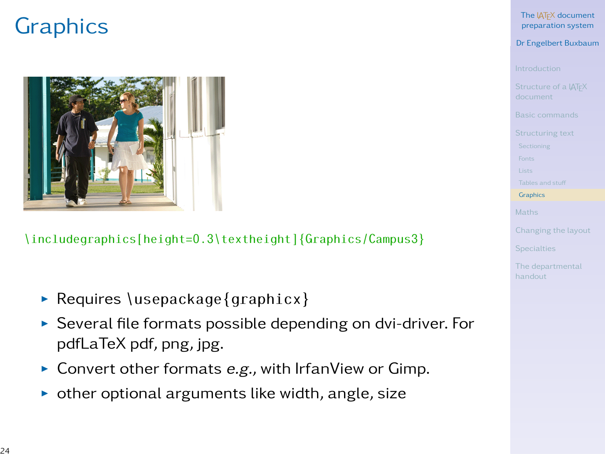# **Graphics**



### \includegraphics[height=0.3\textheight]{Graphics/Campus3}

- $\triangleright$  Requires \usepackage{graphicx}
- $\triangleright$  Several file formats possible depending on dvi-driver. For pdfLaTeX pdf, png, jpg.
- $\triangleright$  Convert other formats e.g., with IrfanView or Gimp.
- $\triangleright$  other optional arguments like width, angle, size

The **LATEX** document [preparation system](#page-0-0)

Dr Engelbert Buxbaum

**[Graphics](#page-23-0)** 

<span id="page-23-0"></span>**[Specialties](#page-34-0)**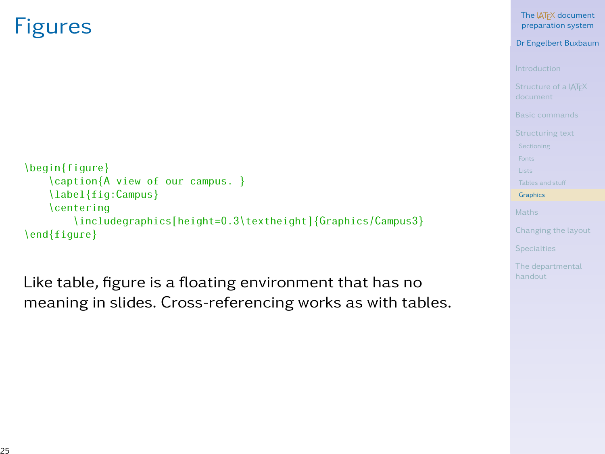### Figures

```
\begin{figure}
   \caption{A view of our campus. }
    \label{fig:Campus}
    \centering
        \includegraphics[height=0.3\textheight]{Graphics/Campus3}
\end{figure}
```
Like table, figure is a floating environment that has no meaning in slides. Cross-referencing works as with tables. The LAT<sub>EX</sub> document [preparation system](#page-0-0)

Dr Engelbert Buxbaum

**[Graphics](#page-23-0)**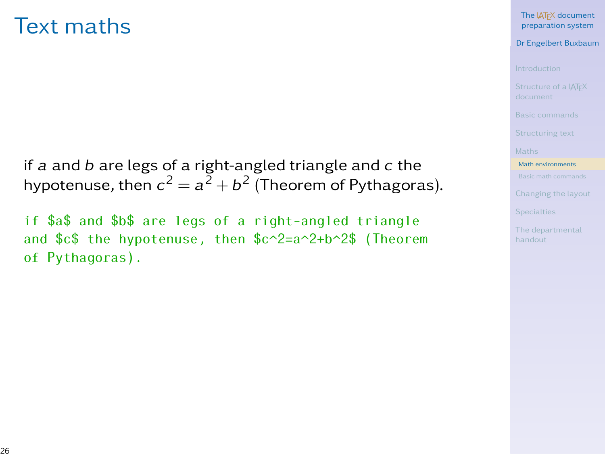### Text maths

if a and b are legs of a right-angled triangle and c the hypotenuse, then  $c^2 = a^2 + b^2$  (Theorem of Pythagoras).

if \$a\$ and \$b\$ are legs of a right-angled triangle and \$c\$ the hypotenuse, then \$c^2=a^2+b^2\$ (Theorem of Pythagoras).

The LAT<sub>EX</sub> document [preparation system](#page-0-0)

Dr Engelbert Buxbaum

[Math environments](#page-25-0)

<span id="page-25-0"></span>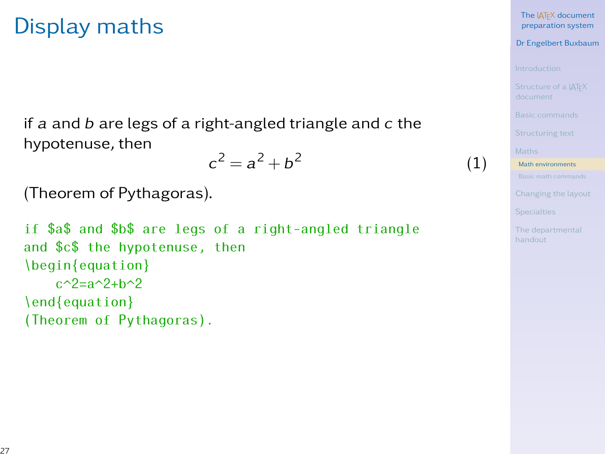### Display maths

if a and  $b$  are legs of a right-angled triangle and  $c$  the hypotenuse, then 2

$$
c^2 = a^2 + b^2
$$

(Theorem of Pythagoras).

if \$a\$ and \$b\$ are legs of a right-angled triangle and \$c\$ the hypotenuse, then \begin{equation}  $c^{2}$ =a^2+h^2 \end{equation} (Theorem of Pythagoras).

#### The LAT<sub>EX</sub> document [preparation system](#page-0-0)

Dr Engelbert Buxbaum

(1)

[Math environments](#page-25-0)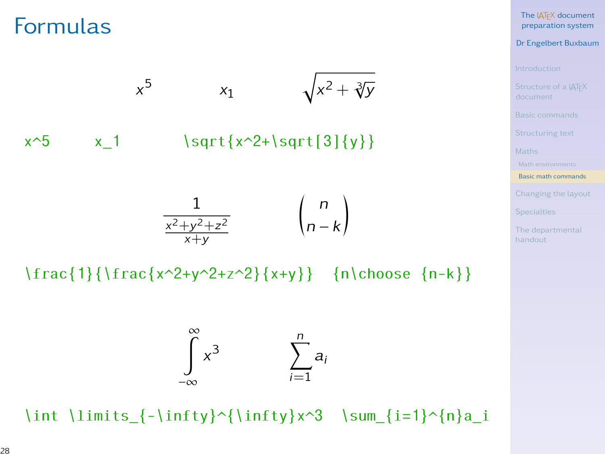### Formulas



\frac{1}{\frac{x^2+y^2+z^2}{x+y}} {n\choose {n-k}}



\int \limits\_{-\infty}^{\infty}x^3 \sum\_{i=1}^{n}a\_i

The LAT<sub>EX</sub> document [preparation system](#page-0-0)

Dr Engelbert Buxbaum

[Basic math commands](#page-27-0)

<span id="page-27-0"></span>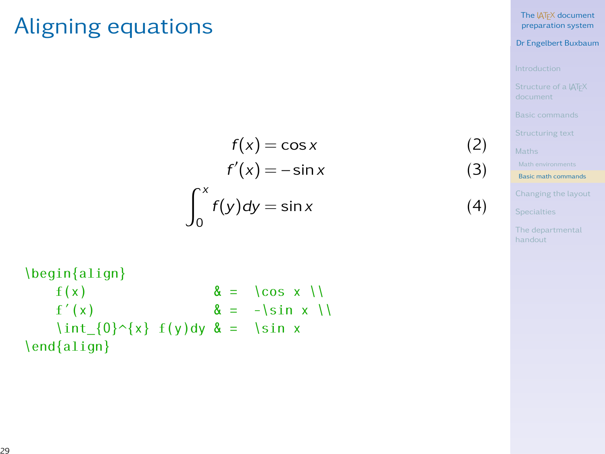### Aligning equations

$$
f(x) = \cos x
$$
 (2)  

$$
f'(x) = -\sin x
$$
 (3)  

$$
\int_0^x f(y) dy = \sin x
$$
 (4)

The LAT<sub>EX</sub> document [preparation system](#page-0-0)

Dr Engelbert Buxbaum

[Basic math commands](#page-27-0)

[Changing the layout](#page-29-0)

**[Specialties](#page-34-0)** 

[The departmental](#page-39-0)

\begin{align}  $f(x)$   $\& = \cos x \setminus$  $f'(x)$   $\& = -\sin x \setminus$  $\int_{0}^{x} f(y)dy & = \sin x$ \end{align}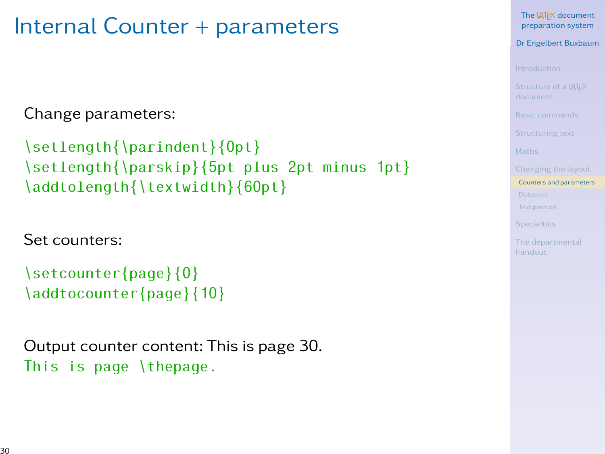### Internal Counter + parameters

Change parameters:

```
\setlength{\parindent}{0pt}
\setlength{\parskip}{5pt plus 2pt minus 1pt}
\addtolength{\textwidth}{60pt}
```
Set counters:

```
\setcounter{page}{0}
\addtocounter{page}{10}
```
Output counter content: This is page 30. This is page \thepage.

The **LATEX** document [preparation system](#page-0-0)

Dr Engelbert Buxbaum

[Counters and parameters](#page-29-0)

<span id="page-29-0"></span>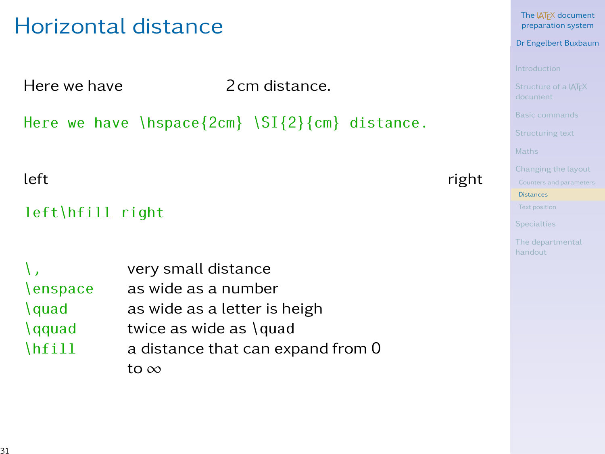### Horizontal distance

Here we have **2cm** distance.

Here we have  $\hbox{\{bspace}}\$  \SI{2}{cm} distance.

### left right right results are the contracted as  $\sim$  right

### left\hfill right

|                       | very small distance               |
|-----------------------|-----------------------------------|
| <b>\enspace</b>       | as wide as a number               |
| $\langle \text{quad}$ | as wide as a letter is heigh      |
| $\qquad$              | twice as wide as \quad            |
| $\hbar$ ill           | a distance that can expand from 0 |
|                       | to ∞                              |

The LAT<sub>EX</sub> document [preparation system](#page-0-0)

Dr Engelbert Buxbaum

[Distances](#page-30-0)

<span id="page-30-0"></span>[The departmental](#page-39-0)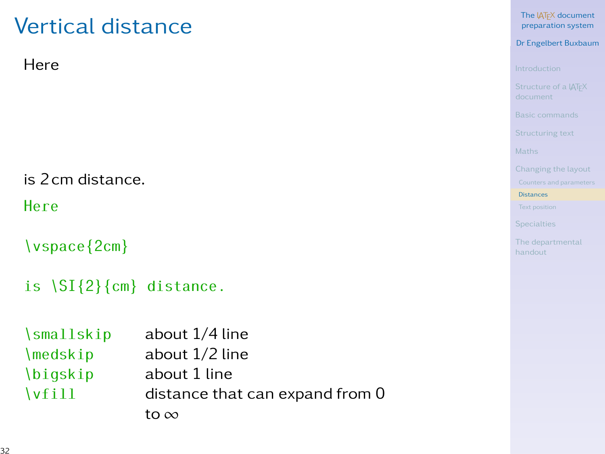# Vertical distance

### Here

is 2cm distance.

Here

\vspace{2cm}

```
is \SI{2}{cm} distance.
```

| $\sum_{i=1}^{n}$      | about 1/4 line                  |
|-----------------------|---------------------------------|
| $\setminus$ medskip   | about 1/2 line                  |
| <i>bigskip</i>        | about 1 line                    |
| $\sqrt{\text{vfill}}$ | distance that can expand from 0 |
|                       | to $\infty$                     |

The IATEX document [preparation system](#page-0-0)

Dr Engelbert Buxbaum

[Distances](#page-30-0)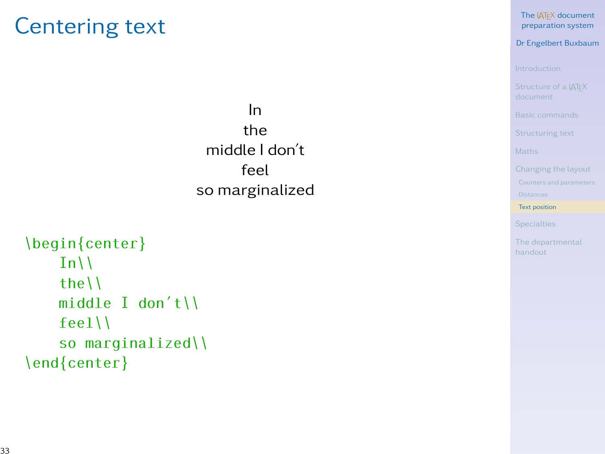### Centering text

In the middle I don't feel so marginalized

```
\begin{center}
    In\{\}the\\
    middle I don't\\
    feel\\
    so marginalized\\
\end{center}
```
The IATEX document [preparation system](#page-0-0)

Dr Engelbert Buxbaum

[Text position](#page-32-0)

<span id="page-32-0"></span>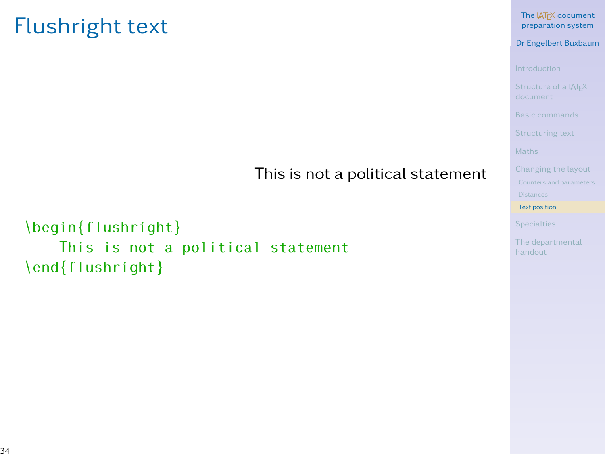### Flushright text

### This is not a political statement

### \begin{flushright} This is not a political statement \end{flushright}

#### The IATEX document [preparation system](#page-0-0)

#### Dr Engelbert Buxbaum

[Text position](#page-32-0)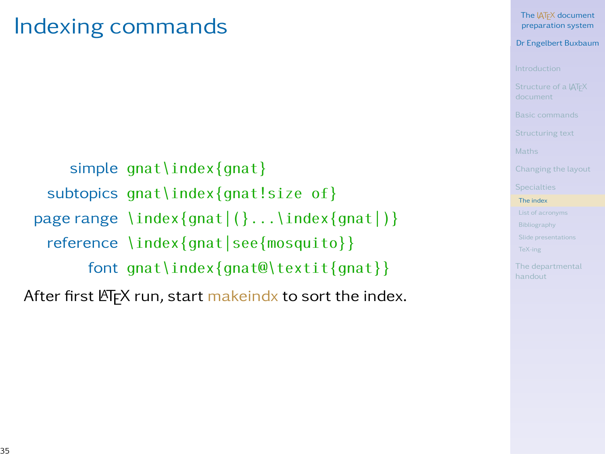### Indexing commands

simple gnat\index{gnat} subtopics gnat\index{gnat!size of} page range  $\in$  {index{qnat|(}... \index{qnat|)} reference \index{gnat|see{mosquito}} font gnat\index{gnat@\textit{gnat}}

After first  $\langle \overline{H} \overline{F} \rangle$  run, start makeindx to sort the index.

#### The **LATEX** document [preparation system](#page-0-0)

### Dr Engelbert Buxbaum

[The index](#page-34-0)

[Slide presentations](#page-37-0)

<span id="page-34-0"></span>[TeX-ing](#page-38-0)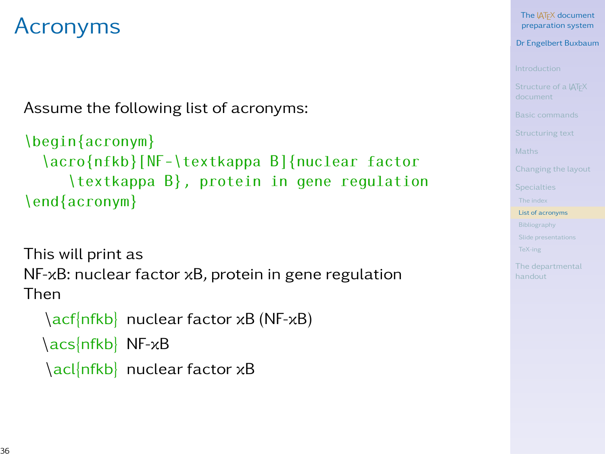### Acronyms

Assume the following list of acronyms:

```
\begin{acronym}
  \acro{nfkb}[NF-\textkappa B]{nuclear factor
     \textkappa B}, protein in gene regulation
\end{acronym}
```
This will print as NF-κB: nuclear factor κB, protein in gene regulation Then

```
\acf{nfkb} nuclear factor κB (NF-κB)
\acs{nfkb} NF-κB
\acl{nfkb} nuclear factor κB
```
The LAT<sub>EX</sub> document [preparation system](#page-0-0)

Dr Engelbert Buxbaum

[List of acronyms](#page-35-0)

[Slide presentations](#page-37-0)

<span id="page-35-0"></span>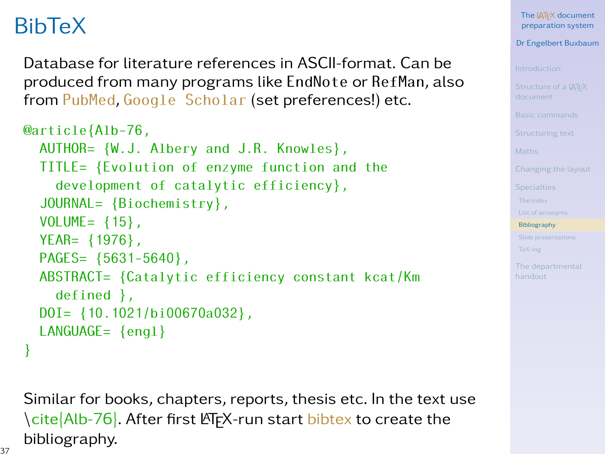# BibTeX

Database for literature references in ASCII-format. Can be produced from many programs like EndNote or RefMan, also from [PubMed](http://www.ncbi.nlm.nih.gov/pubmed/), [Google Scholar](http://scholar.google.com/advanced_scholar_search?hl=en&as_sdt=2000) (set preferences!) etc.

```
@article{Alb-76,
  AUTHOR= {W.J. Albery and J.R. Knowles},
  TITLE= {Evolution of enzyme function and the
    development of catalytic efficiency},
  JOURNAL= {Biochemistry},
  VOLUME= \{15\},
  YEAR= {1976},
  PAGES= {5631-5640},
  ABSTRACT= {Catalytic efficiency constant kcat/Km
    defined },
  DOI= {10.1021/bi00670a032},
  LANGUAGE= {engl}
}
```
Similar for books, chapters, reports, thesis etc. In the text use \cite{Alb-76}. After first LATEX-run start bibtex to create the bibliography.

The LAT<sub>EX</sub> document [preparation system](#page-0-0)

Dr Engelbert Buxbaum

[Bibliography](#page-36-0)

[Slide presentations](#page-37-0)

<span id="page-36-0"></span>[TeX-ing](#page-38-0)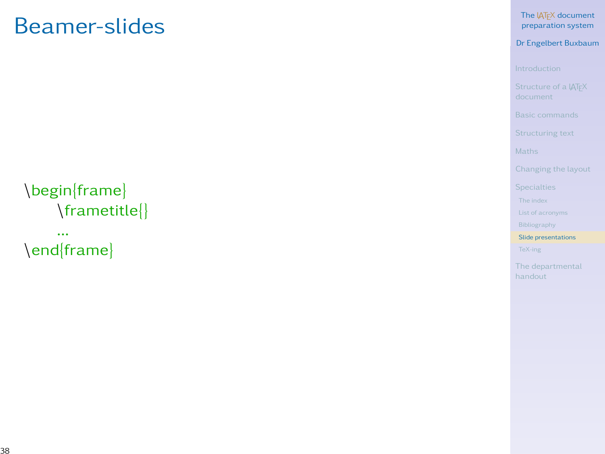### Beamer-slides

The LAT<sub>EX</sub> document [preparation system](#page-0-0)

Dr Engelbert Buxbaum

[Bibliography](#page-36-0)

[Slide presentations](#page-37-0)

[TeX-ing](#page-38-0)

<span id="page-37-0"></span>

### \begin{frame} \frametitle{}

... \end{frame}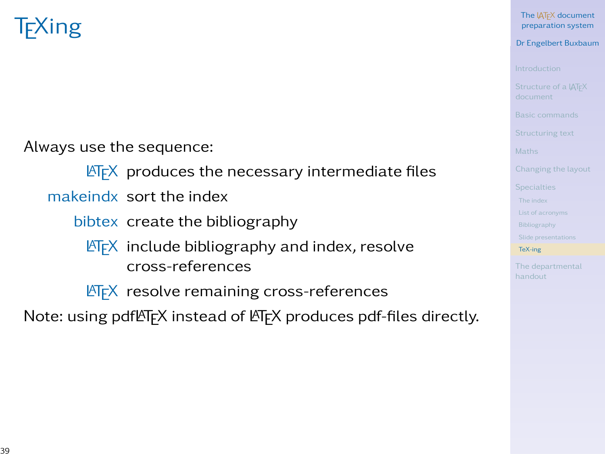# TEXing

Always use the sequence:

 $\overline{\text{MTF}}$  produces the necessary intermediate files

makeindx sort the index

bibtex create the bibliography

 $\text{L}$ T<sub>E</sub>X include bibliography and index, resolve cross-references

**LATEX** resolve remaining cross-references

Note: using pdfLTFX instead of LTFX produces pdf-files directly.

The LAT<sub>EX</sub> document [preparation system](#page-0-0)

Dr Engelbert Buxbaum

<span id="page-38-0"></span>[TeX-ing](#page-38-0)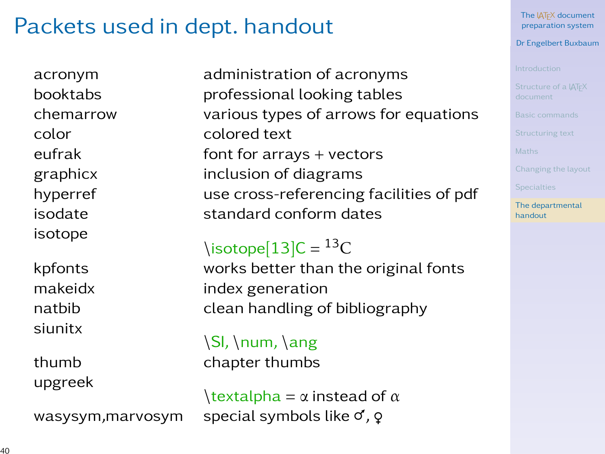### Packets used in dept. handout

isotope

siunitx

upgreek

acronym administration of acronyms booktabs professional looking tables chemarrow various types of arrows for equations color colored text eufrak font for arrays + vectors graphicx inclusion of diagrams hyperref use cross-referencing facilities of pdf isodate standard conform dates

 $\text{isotope}[13]C = {}^{13}C$ 

kpfonts works better than the original fonts makeidx index generation natbib clean handling of bibliography

 $\\S$ , \num,  $\angle$ ang thumb chapter thumbs

 $\text{textalpha} = \alpha \text{ instead of } \alpha$ wasysym, marvosym special symbols like  $\sigma$ ,  $\varphi$ 

The **LATEX** document [preparation system](#page-0-0)

Dr Engelbert Buxbaum

<span id="page-39-0"></span>[The departmental](#page-39-0) handout